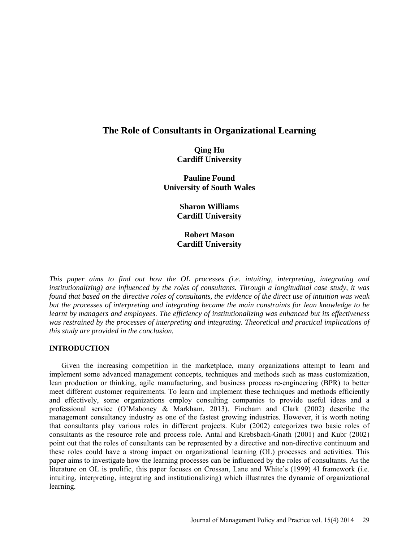# **The Role of Consultants in Organizational Learning**

# **Qing Hu Cardiff University**

**Pauline Found University of South Wales** 

> **Sharon Williams Cardiff University**

# **Robert Mason Cardiff University**

*This paper aims to find out how the OL processes (i.e. intuiting, interpreting, integrating and institutionalizing) are influenced by the roles of consultants. Through a longitudinal case study, it was found that based on the directive roles of consultants, the evidence of the direct use of intuition was weak but the processes of interpreting and integrating became the main constraints for lean knowledge to be learnt by managers and employees. The efficiency of institutionalizing was enhanced but its effectiveness was restrained by the processes of interpreting and integrating. Theoretical and practical implications of this study are provided in the conclusion.*

## **INTRODUCTION**

Given the increasing competition in the marketplace, many organizations attempt to learn and implement some advanced management concepts, techniques and methods such as mass customization, lean production or thinking, agile manufacturing, and business process re-engineering (BPR) to better meet different customer requirements. To learn and implement these techniques and methods efficiently and effectively, some organizations employ consulting companies to provide useful ideas and a professional service (O'Mahoney & Markham, 2013). Fincham and Clark (2002) describe the management consultancy industry as one of the fastest growing industries. However, it is worth noting that consultants play various roles in different projects. Kubr (2002) categorizes two basic roles of consultants as the resource role and process role. Antal and Krebsbach-Gnath (2001) and Kubr (2002) point out that the roles of consultants can be represented by a directive and non-directive continuum and these roles could have a strong impact on organizational learning (OL) processes and activities. This paper aims to investigate how the learning processes can be influenced by the roles of consultants. As the literature on OL is prolific, this paper focuses on Crossan, Lane and White's (1999) 4I framework (i.e. intuiting, interpreting, integrating and institutionalizing) which illustrates the dynamic of organizational learning.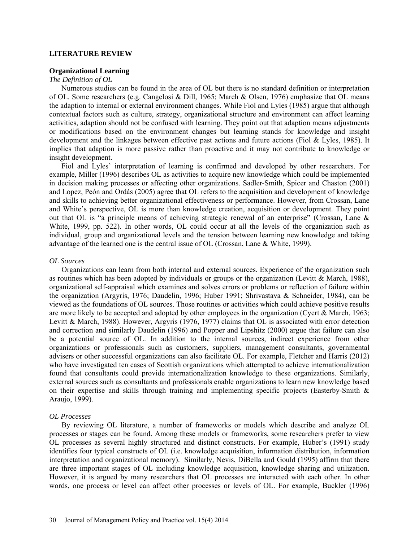#### **LITERATURE REVIEW**

#### **Organizational Learning**

## *The Definition of OL*

Numerous studies can be found in the area of OL but there is no standard definition or interpretation of OL. Some researchers (e.g. Cangelosi & Dill, 1965; March & Olsen, 1976) emphasize that OL means the adaption to internal or external environment changes. While Fiol and Lyles (1985) argue that although contextual factors such as culture, strategy, organizational structure and environment can affect learning activities, adaption should not be confused with learning. They point out that adaption means adjustments or modifications based on the environment changes but learning stands for knowledge and insight development and the linkages between effective past actions and future actions (Fiol & Lyles, 1985). It implies that adaption is more passive rather than proactive and it may not contribute to knowledge or insight development.

Fiol and Lyles' interpretation of learning is confirmed and developed by other researchers. For example, Miller (1996) describes OL as activities to acquire new knowledge which could be implemented in decision making processes or affecting other organizations. Sadler-Smith, Spicer and Chaston (2001) and Lopez, Peón and Ordás (2005) agree that OL refers to the acquisition and development of knowledge and skills to achieving better organizational effectiveness or performance. However, from Crossan, Lane and White's perspective, OL is more than knowledge creation, acquisition or development. They point out that OL is "a principle means of achieving strategic renewal of an enterprise" (Crossan, Lane & White, 1999, pp. 522). In other words, OL could occur at all the levels of the organization such as individual, group and organizational levels and the tension between learning new knowledge and taking advantage of the learned one is the central issue of OL (Crossan, Lane & White, 1999).

#### *OL Sources*

Organizations can learn from both internal and external sources. Experience of the organization such as routines which has been adopted by individuals or groups or the organization (Levitt & March, 1988), organizational self-appraisal which examines and solves errors or problems or reflection of failure within the organization (Argyris, 1976; Daudelin, 1996; Huber 1991; Shrivastava & Schneider, 1984), can be viewed as the foundations of OL sources. Those routines or activities which could achieve positive results are more likely to be accepted and adopted by other employees in the organization (Cyert & March, 1963; Levitt & March, 1988). However, Argyris (1976, 1977) claims that OL is associated with error detection and correction and similarly Daudelin (1996) and Popper and Lipshitz (2000) argue that failure can also be a potential source of OL. In addition to the internal sources, indirect experience from other organizations or professionals such as customers, suppliers, management consultants, governmental advisers or other successful organizations can also facilitate OL. For example, Fletcher and Harris (2012) who have investigated ten cases of Scottish organizations which attempted to achieve internationalization found that consultants could provide internationalization knowledge to these organizations. Similarly, external sources such as consultants and professionals enable organizations to learn new knowledge based on their expertise and skills through training and implementing specific projects (Easterby-Smith  $\&$ Araujo, 1999).

## *OL Processes*

By reviewing OL literature, a number of frameworks or models which describe and analyze OL processes or stages can be found. Among these models or frameworks, some researchers prefer to view OL processes as several highly structured and distinct constructs. For example, Huber's (1991) study identifies four typical constructs of OL (i.e. knowledge acquisition, information distribution, information interpretation and organizational memory). Similarly, Nevis, DiBella and Gould (1995) affirm that there are three important stages of OL including knowledge acquisition, knowledge sharing and utilization. However, it is argued by many researchers that OL processes are interacted with each other. In other words, one process or level can affect other processes or levels of OL. For example, Buckler (1996)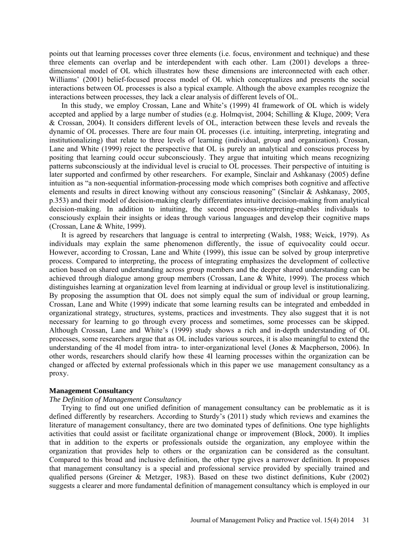points out that learning processes cover three elements (i.e. focus, environment and technique) and these three elements can overlap and be interdependent with each other. Lam (2001) develops a threedimensional model of OL which illustrates how these dimensions are interconnected with each other. Williams' (2001) belief-focused process model of OL which conceptualizes and presents the social interactions between OL processes is also a typical example. Although the above examples recognize the interactions between processes, they lack a clear analysis of different levels of OL.

In this study, we employ Crossan, Lane and White's (1999) 4I framework of OL which is widely accepted and applied by a large number of studies (e.g. Holmqvist, 2004; Schilling & Kluge, 2009; Vera & Crossan, 2004). It considers different levels of OL, interaction between these levels and reveals the dynamic of OL processes. There are four main OL processes (i.e. intuiting, interpreting, integrating and institutionalizing) that relate to three levels of learning (individual, group and organization). Crossan, Lane and White (1999) reject the perspective that OL is purely an analytical and conscious process by positing that learning could occur subconsciously. They argue that intuiting which means recognizing patterns subconsciously at the individual level is crucial to OL processes. Their perspective of intuiting is later supported and confirmed by other researchers. For example, Sinclair and Ashkanasy (2005) define intuition as "a non-sequential information-processing mode which comprises both cognitive and affective elements and results in direct knowing without any conscious reasoning" (Sinclair & Ashkanasy, 2005, p.353) and their model of decision-making clearly differentiates intuitive decision-making from analytical decision-making. In addition to intuiting, the second process-interpreting-enables individuals to consciously explain their insights or ideas through various languages and develop their cognitive maps (Crossan, Lane & White, 1999).

It is agreed by researchers that language is central to interpreting (Walsh, 1988; Weick, 1979). As individuals may explain the same phenomenon differently, the issue of equivocality could occur. However, according to Crossan, Lane and White (1999), this issue can be solved by group interpretive process. Compared to interpreting, the process of integrating emphasizes the development of collective action based on shared understanding across group members and the deeper shared understanding can be achieved through dialogue among group members (Crossan, Lane & White, 1999). The process which distinguishes learning at organization level from learning at individual or group level is institutionalizing. By proposing the assumption that OL does not simply equal the sum of individual or group learning, Crossan, Lane and White (1999) indicate that some learning results can be integrated and embedded in organizational strategy, structures, systems, practices and investments. They also suggest that it is not necessary for learning to go through every process and sometimes, some processes can be skipped. Although Crossan, Lane and White's (1999) study shows a rich and in-depth understanding of OL processes, some researchers argue that as OL includes various sources, it is also meaningful to extend the understanding of the 4I model from intra- to inter-organizational level (Jones & Macpherson, 2006). In other words, researchers should clarify how these 4I learning processes within the organization can be changed or affected by external professionals which in this paper we use management consultancy as a proxy.

## **Management Consultancy**

## *The Definition of Management Consultancy*

Trying to find out one unified definition of management consultancy can be problematic as it is defined differently by researchers. According to Sturdy's (2011) study which reviews and examines the literature of management consultancy, there are two dominated types of definitions. One type highlights activities that could assist or facilitate organizational change or improvement (Block, 2000). It implies that in addition to the experts or professionals outside the organization, any employee within the organization that provides help to others or the organization can be considered as the consultant. Compared to this broad and inclusive definition, the other type gives a narrower definition. It proposes that management consultancy is a special and professional service provided by specially trained and qualified persons (Greiner & Metzger, 1983). Based on these two distinct definitions, Kubr (2002) suggests a clearer and more fundamental definition of management consultancy which is employed in our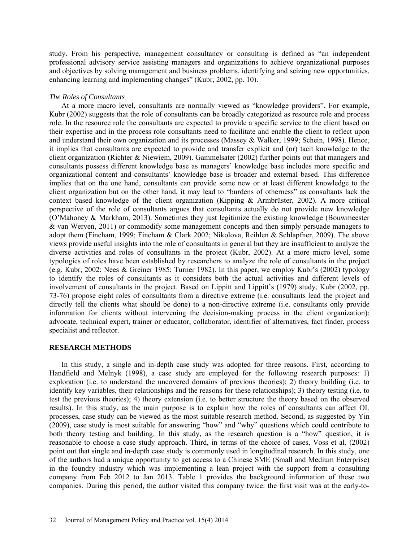study. From his perspective, management consultancy or consulting is defined as "an independent professional advisory service assisting managers and organizations to achieve organizational purposes and objectives by solving management and business problems, identifying and seizing new opportunities, enhancing learning and implementing changes" (Kubr, 2002, pp. 10).

## *The Roles of Consultants*

At a more macro level, consultants are normally viewed as "knowledge providers". For example, Kubr (2002) suggests that the role of consultants can be broadly categorized as resource role and process role. In the resource role the consultants are expected to provide a specific service to the client based on their expertise and in the process role consultants need to facilitate and enable the client to reflect upon and understand their own organization and its processes (Massey & Walker, 1999; Schein, 1998). Hence, it implies that consultants are expected to provide and transfer explicit and (or) tacit knowledge to the client organization (Richter & Niewiem, 2009). Gammelsater (2002) further points out that managers and consultants possess different knowledge base as managers' knowledge base includes more specific and organizational content and consultants' knowledge base is broader and external based. This difference implies that on the one hand, consultants can provide some new or at least different knowledge to the client organization but on the other hand, it may lead to "burdens of otherness" as consultants lack the context based knowledge of the client organization (Kipping & Armbrüster, 2002). A more critical perspective of the role of consultants argues that consultants actually do not provide new knowledge (O'Mahoney & Markham, 2013). Sometimes they just legitimize the existing knowledge (Bouwmeester & van Werven, 2011) or commodify some management concepts and then simply persuade managers to adopt them (Fincham, 1999; Fincham & Clark 2002; Nikolova, Reihlen & Schlapfner, 2009). The above views provide useful insights into the role of consultants in general but they are insufficient to analyze the diverse activities and roles of consultants in the project (Kubr, 2002). At a more micro level, some typologies of roles have been established by researchers to analyze the role of consultants in the project (e.g. Kubr, 2002; Nees & Greiner 1985; Turner 1982). In this paper, we employ Kubr's (2002) typology to identify the roles of consultants as it considers both the actual activities and different levels of involvement of consultants in the project. Based on Lippitt and Lippitt's (1979) study, Kubr (2002, pp. 73-76) propose eight roles of consultants from a directive extreme (i.e. consultants lead the project and directly tell the clients what should be done) to a non-directive extreme (i.e. consultants only provide information for clients without intervening the decision-making process in the client organization): advocate, technical expert, trainer or educator, collaborator, identifier of alternatives, fact finder, process specialist and reflector.

## **RESEARCH METHODS**

In this study, a single and in-depth case study was adopted for three reasons. First, according to Handfield and Melnyk (1998), a case study are employed for the following research purposes: 1) exploration (i.e. to understand the uncovered domains of previous theories); 2) theory building (i.e. to identify key variables, their relationships and the reasons for these relationships); 3) theory testing (i.e. to test the previous theories); 4) theory extension (i.e. to better structure the theory based on the observed results). In this study, as the main purpose is to explain how the roles of consultants can affect OL processes, case study can be viewed as the most suitable research method. Second, as suggested by Yin (2009), case study is most suitable for answering "how" and "why" questions which could contribute to both theory testing and building. In this study, as the research question is a "how" question, it is reasonable to choose a case study approach. Third, in terms of the choice of cases, Voss et al. (2002) point out that single and in-depth case study is commonly used in longitudinal research. In this study, one of the authors had a unique opportunity to get access to a Chinese SME (Small and Medium Enterprise) in the foundry industry which was implementing a lean project with the support from a consulting company from Feb 2012 to Jan 2013. Table 1 provides the background information of these two companies. During this period, the author visited this company twice: the first visit was at the early-to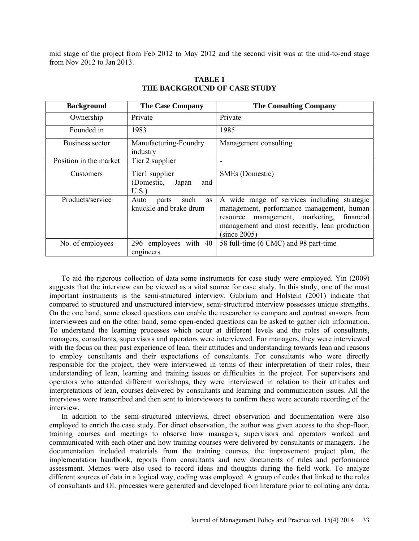mid stage of the project from Feb 2012 to May 2012 and the second visit was at the mid-to-end stage from Nov 2012 to Jan 2013.

| <b>Background</b>      | <b>The Case Company</b>                               | <b>The Consulting Company</b>                                                                                                                                                                                 |
|------------------------|-------------------------------------------------------|---------------------------------------------------------------------------------------------------------------------------------------------------------------------------------------------------------------|
| Ownership              | Private                                               | Private                                                                                                                                                                                                       |
| Founded in             | 1983                                                  | 1985                                                                                                                                                                                                          |
| Business sector        | Manufacturing-Foundry<br>industry                     | Management consulting                                                                                                                                                                                         |
| Position in the market | Tier 2 supplier                                       |                                                                                                                                                                                                               |
| Customers              | Tier1 supplier<br>(Domestic,<br>Japan<br>and<br>U.S.  | SMEs (Domestic)                                                                                                                                                                                               |
| Products/service       | such<br>Auto<br>as<br>parts<br>knuckle and brake drum | A wide range of services including strategic<br>management, performance management, human<br>management, marketing,<br>financial<br>resource<br>management and most recently, lean production<br>(since 2005) |
| No. of employees       | 296 employees with 40<br>engineers                    | 58 full-time (6 CMC) and 98 part-time                                                                                                                                                                         |

**TABLE 1 THE BACKGROUND OF CASE STUDY**

To aid the rigorous collection of data some instruments for case study were employed. Yin (2009) suggests that the interview can be viewed as a vital source for case study. In this study, one of the most important instruments is the semi-structured interview. Gubrium and Holstein (2001) indicate that compared to structured and unstructured interview, semi-structured interview possesses unique strengths. On the one hand, some closed questions can enable the researcher to compare and contrast answers from interviewees and on the other hand, some open-ended questions can be asked to gather rich information. To understand the learning processes which occur at different levels and the roles of consultants, managers, consultants, supervisors and operators were interviewed. For managers, they were interviewed with the focus on their past experience of lean, their attitudes and understanding towards lean and reasons to employ consultants and their expectations of consultants. For consultants who were directly responsible for the project, they were interviewed in terms of their interpretation of their roles, their understanding of lean, learning and training issues or difficulties in the project. For supervisors and operators who attended different workshops, they were interviewed in relation to their attitudes and interpretations of lean, courses delivered by consultants and learning and communication issues. All the interviews were transcribed and then sent to interviewees to confirm these were accurate recording of the interview.

In addition to the semi-structured interviews, direct observation and documentation were also employed to enrich the case study. For direct observation, the author was given access to the shop-floor, training courses and meetings to observe how managers, supervisors and operators worked and communicated with each other and how training courses were delivered by consultants or managers. The documentation included materials from the training courses, the improvement project plan, the implementation handbook, reports from consultants and new documents of rules and performance assessment. Memos were also used to record ideas and thoughts during the field work. To analyze different sources of data in a logical way, coding was employed. A group of codes that linked to the roles of consultants and OL processes were generated and developed from literature prior to collating any data.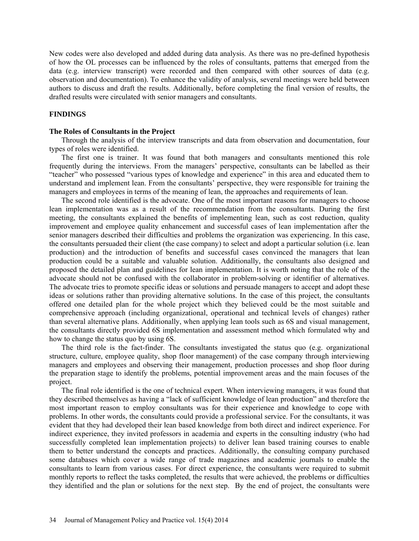New codes were also developed and added during data analysis. As there was no pre-defined hypothesis of how the OL processes can be influenced by the roles of consultants, patterns that emerged from the data (e.g. interview transcript) were recorded and then compared with other sources of data (e.g. observation and documentation). To enhance the validity of analysis, several meetings were held between authors to discuss and draft the results. Additionally, before completing the final version of results, the drafted results were circulated with senior managers and consultants.

## **FINDINGS**

#### **The Roles of Consultants in the Project**

Through the analysis of the interview transcripts and data from observation and documentation, four types of roles were identified.

The first one is trainer. It was found that both managers and consultants mentioned this role frequently during the interviews. From the managers' perspective, consultants can be labelled as their "teacher" who possessed "various types of knowledge and experience" in this area and educated them to understand and implement lean. From the consultants' perspective, they were responsible for training the managers and employees in terms of the meaning of lean, the approaches and requirements of lean.

The second role identified is the advocate. One of the most important reasons for managers to choose lean implementation was as a result of the recommendation from the consultants. During the first meeting, the consultants explained the benefits of implementing lean, such as cost reduction, quality improvement and employee quality enhancement and successful cases of lean implementation after the senior managers described their difficulties and problems the organization was experiencing. In this case, the consultants persuaded their client (the case company) to select and adopt a particular solution (i.e. lean production) and the introduction of benefits and successful cases convinced the managers that lean production could be a suitable and valuable solution. Additionally, the consultants also designed and proposed the detailed plan and guidelines for lean implementation. It is worth noting that the role of the advocate should not be confused with the collaborator in problem-solving or identifier of alternatives. The advocate tries to promote specific ideas or solutions and persuade managers to accept and adopt these ideas or solutions rather than providing alternative solutions. In the case of this project, the consultants offered one detailed plan for the whole project which they believed could be the most suitable and comprehensive approach (including organizational, operational and technical levels of changes) rather than several alternative plans. Additionally, when applying lean tools such as 6S and visual management, the consultants directly provided 6S implementation and assessment method which formulated why and how to change the status quo by using 6S.

The third role is the fact-finder. The consultants investigated the status quo (e.g. organizational structure, culture, employee quality, shop floor management) of the case company through interviewing managers and employees and observing their management, production processes and shop floor during the preparation stage to identify the problems, potential improvement areas and the main focuses of the project.

The final role identified is the one of technical expert. When interviewing managers, it was found that they described themselves as having a "lack of sufficient knowledge of lean production" and therefore the most important reason to employ consultants was for their experience and knowledge to cope with problems. In other words, the consultants could provide a professional service. For the consultants, it was evident that they had developed their lean based knowledge from both direct and indirect experience. For indirect experience, they invited professors in academia and experts in the consulting industry (who had successfully completed lean implementation projects) to deliver lean based training courses to enable them to better understand the concepts and practices. Additionally, the consulting company purchased some databases which cover a wide range of trade magazines and academic journals to enable the consultants to learn from various cases. For direct experience, the consultants were required to submit monthly reports to reflect the tasks completed, the results that were achieved, the problems or difficulties they identified and the plan or solutions for the next step. By the end of project, the consultants were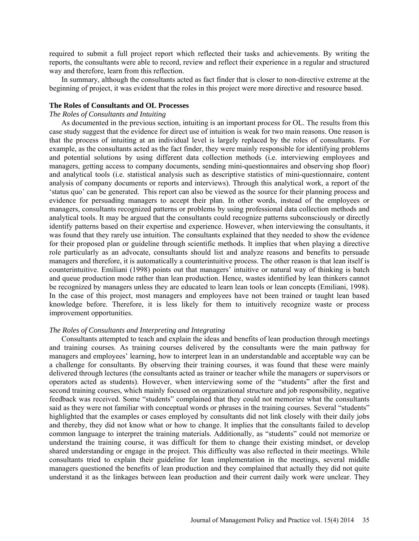required to submit a full project report which reflected their tasks and achievements. By writing the reports, the consultants were able to record, review and reflect their experience in a regular and structured way and therefore, learn from this reflection.

In summary, although the consultants acted as fact finder that is closer to non-directive extreme at the beginning of project, it was evident that the roles in this project were more directive and resource based.

## **The Roles of Consultants and OL Processes**

#### *The Roles of Consultants and Intuiting*

As documented in the previous section, intuiting is an important process for OL. The results from this case study suggest that the evidence for direct use of intuition is weak for two main reasons. One reason is that the process of intuiting at an individual level is largely replaced by the roles of consultants. For example, as the consultants acted as the fact finder, they were mainly responsible for identifying problems and potential solutions by using different data collection methods (i.e. interviewing employees and managers, getting access to company documents, sending mini-questionnaires and observing shop floor) and analytical tools (i.e. statistical analysis such as descriptive statistics of mini-questionnaire, content analysis of company documents or reports and interviews). Through this analytical work, a report of the 'status quo' can be generated. This report can also be viewed as the source for their planning process and evidence for persuading managers to accept their plan. In other words, instead of the employees or managers, consultants recognized patterns or problems by using professional data collection methods and analytical tools. It may be argued that the consultants could recognize patterns subconsciously or directly identify patterns based on their expertise and experience. However, when interviewing the consultants, it was found that they rarely use intuition. The consultants explained that they needed to show the evidence for their proposed plan or guideline through scientific methods. It implies that when playing a directive role particularly as an advocate, consultants should list and analyze reasons and benefits to persuade managers and therefore, it is automatically a counterintuitive process. The other reason is that lean itself is counterintuitive. Emiliani (1998) points out that managers' intuitive or natural way of thinking is batch and queue production mode rather than lean production. Hence, wastes identified by lean thinkers cannot be recognized by managers unless they are educated to learn lean tools or lean concepts (Emiliani, 1998). In the case of this project, most managers and employees have not been trained or taught lean based knowledge before. Therefore, it is less likely for them to intuitively recognize waste or process improvement opportunities.

#### *The Roles of Consultants and Interpreting and Integrating*

Consultants attempted to teach and explain the ideas and benefits of lean production through meetings and training courses. As training courses delivered by the consultants were the main pathway for managers and employees' learning, how to interpret lean in an understandable and acceptable way can be a challenge for consultants. By observing their training courses, it was found that these were mainly delivered through lectures (the consultants acted as trainer or teacher while the managers or supervisors or operators acted as students). However, when interviewing some of the "students" after the first and second training courses, which mainly focused on organizational structure and job responsibility, negative feedback was received. Some "students" complained that they could not memorize what the consultants said as they were not familiar with conceptual words or phrases in the training courses. Several "students" highlighted that the examples or cases employed by consultants did not link closely with their daily jobs and thereby, they did not know what or how to change. It implies that the consultants failed to develop common language to interpret the training materials. Additionally, as "students" could not memorize or understand the training course, it was difficult for them to change their existing mindset, or develop shared understanding or engage in the project. This difficulty was also reflected in their meetings. While consultants tried to explain their guideline for lean implementation in the meetings, several middle managers questioned the benefits of lean production and they complained that actually they did not quite understand it as the linkages between lean production and their current daily work were unclear. They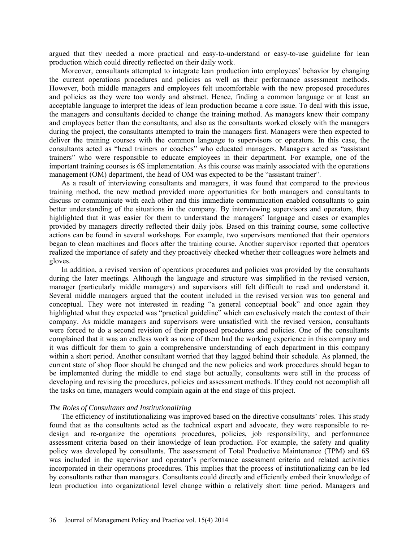argued that they needed a more practical and easy-to-understand or easy-to-use guideline for lean production which could directly reflected on their daily work.

Moreover, consultants attempted to integrate lean production into employees' behavior by changing the current operations procedures and policies as well as their performance assessment methods. However, both middle managers and employees felt uncomfortable with the new proposed procedures and policies as they were too wordy and abstract. Hence, finding a common language or at least an acceptable language to interpret the ideas of lean production became a core issue. To deal with this issue, the managers and consultants decided to change the training method. As managers knew their company and employees better than the consultants, and also as the consultants worked closely with the managers during the project, the consultants attempted to train the managers first. Managers were then expected to deliver the training courses with the common language to supervisors or operators. In this case, the consultants acted as "head trainers or coaches" who educated managers. Managers acted as "assistant trainers" who were responsible to educate employees in their department. For example, one of the important training courses is 6S implementation. As this course was mainly associated with the operations management (OM) department, the head of OM was expected to be the "assistant trainer".

As a result of interviewing consultants and managers, it was found that compared to the previous training method, the new method provided more opportunities for both managers and consultants to discuss or communicate with each other and this immediate communication enabled consultants to gain better understanding of the situations in the company. By interviewing supervisors and operators, they highlighted that it was easier for them to understand the managers' language and cases or examples provided by managers directly reflected their daily jobs. Based on this training course, some collective actions can be found in several workshops. For example, two supervisors mentioned that their operators began to clean machines and floors after the training course. Another supervisor reported that operators realized the importance of safety and they proactively checked whether their colleagues wore helmets and gloves.

In addition, a revised version of operations procedures and policies was provided by the consultants during the later meetings. Although the language and structure was simplified in the revised version, manager (particularly middle managers) and supervisors still felt difficult to read and understand it. Several middle managers argued that the content included in the revised version was too general and conceptual. They were not interested in reading "a general conceptual book" and once again they highlighted what they expected was "practical guideline" which can exclusively match the context of their company. As middle managers and supervisors were unsatisfied with the revised version, consultants were forced to do a second revision of their proposed procedures and policies. One of the consultants complained that it was an endless work as none of them had the working experience in this company and it was difficult for them to gain a comprehensive understanding of each department in this company within a short period. Another consultant worried that they lagged behind their schedule. As planned, the current state of shop floor should be changed and the new policies and work procedures should began to be implemented during the middle to end stage but actually, consultants were still in the process of developing and revising the procedures, policies and assessment methods. If they could not accomplish all the tasks on time, managers would complain again at the end stage of this project.

## *The Roles of Consultants and Institutionalizing*

The efficiency of institutionalizing was improved based on the directive consultants' roles. This study found that as the consultants acted as the technical expert and advocate, they were responsible to redesign and re-organize the operations procedures, policies, job responsibility, and performance assessment criteria based on their knowledge of lean production. For example, the safety and quality policy was developed by consultants. The assessment of Total Productive Maintenance (TPM) and 6S was included in the supervisor and operator's performance assessment criteria and related activities incorporated in their operations procedures. This implies that the process of institutionalizing can be led by consultants rather than managers. Consultants could directly and efficiently embed their knowledge of lean production into organizational level change within a relatively short time period. Managers and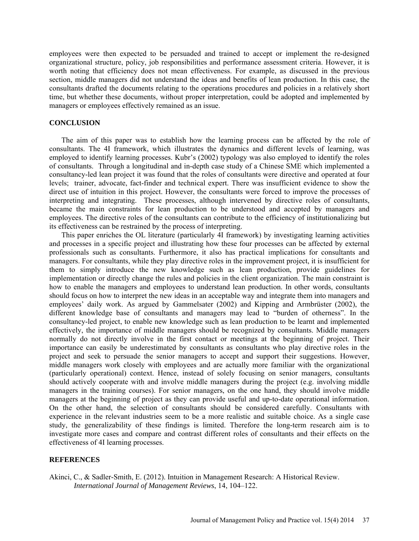employees were then expected to be persuaded and trained to accept or implement the re-designed organizational structure, policy, job responsibilities and performance assessment criteria. However, it is worth noting that efficiency does not mean effectiveness. For example, as discussed in the previous section, middle managers did not understand the ideas and benefits of lean production. In this case, the consultants drafted the documents relating to the operations procedures and policies in a relatively short time, but whether these documents, without proper interpretation, could be adopted and implemented by managers or employees effectively remained as an issue.

### **CONCLUSION**

The aim of this paper was to establish how the learning process can be affected by the role of consultants. The 4I framework, which illustrates the dynamics and different levels of learning, was employed to identify learning processes. Kubr's (2002) typology was also employed to identify the roles of consultants. Through a longitudinal and in-depth case study of a Chinese SME which implemented a consultancy-led lean project it was found that the roles of consultants were directive and operated at four levels; trainer, advocate, fact-finder and technical expert. There was insufficient evidence to show the direct use of intuition in this project. However, the consultants were forced to improve the processes of interpreting and integrating. These processes, although intervened by directive roles of consultants, became the main constraints for lean production to be understood and accepted by managers and employees. The directive roles of the consultants can contribute to the efficiency of institutionalizing but its effectiveness can be restrained by the process of interpreting.

This paper enriches the OL literature (particularly 4I framework) by investigating learning activities and processes in a specific project and illustrating how these four processes can be affected by external professionals such as consultants. Furthermore, it also has practical implications for consultants and managers. For consultants, while they play directive roles in the improvement project, it is insufficient for them to simply introduce the new knowledge such as lean production, provide guidelines for implementation or directly change the rules and policies in the client organization. The main constraint is how to enable the managers and employees to understand lean production. In other words, consultants should focus on how to interpret the new ideas in an acceptable way and integrate them into managers and employees' daily work. As argued by Gammelsater (2002) and Kipping and Armbrüster (2002), the different knowledge base of consultants and managers may lead to "burden of otherness". In the consultancy-led project, to enable new knowledge such as lean production to be learnt and implemented effectively, the importance of middle managers should be recognized by consultants. Middle managers normally do not directly involve in the first contact or meetings at the beginning of project. Their importance can easily be underestimated by consultants as consultants who play directive roles in the project and seek to persuade the senior managers to accept and support their suggestions. However, middle managers work closely with employees and are actually more familiar with the organizational (particularly operational) context. Hence, instead of solely focusing on senior managers, consultants should actively cooperate with and involve middle managers during the project (e.g. involving middle managers in the training courses). For senior managers, on the one hand, they should involve middle managers at the beginning of project as they can provide useful and up-to-date operational information. On the other hand, the selection of consultants should be considered carefully. Consultants with experience in the relevant industries seem to be a more realistic and suitable choice. As a single case study, the generalizability of these findings is limited. Therefore the long-term research aim is to investigate more cases and compare and contrast different roles of consultants and their effects on the effectiveness of 4I learning processes.

#### **REFERENCES**

Akinci, C., & Sadler-Smith, E. (2012). Intuition in Management Research: A Historical Review. *International Journal of Management Reviews*, 14, 104–122.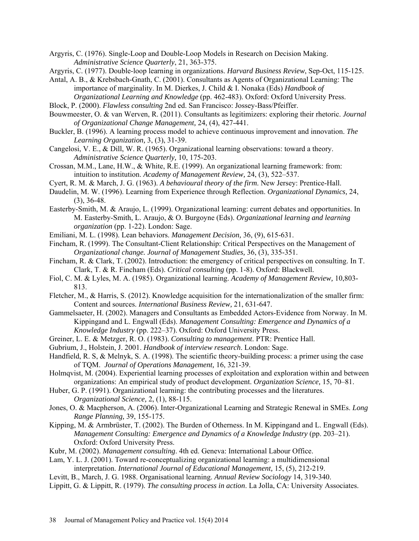- Argyris, C. (1976). Single-Loop and Double-Loop Models in Research on Decision Making. *Administrative Science Quarterly*, 21, 363-375.
- Argyris, C. (1977). Double-loop learning in organizations. *Harvard Business Review*, Sep-Oct, 115-125.
- Antal, A. B., & Krebsbach-Gnath, C. (2001). Consultants as Agents of Organizational Learning: The importance of marginality. In M. Dierkes, J. Child & I. Nonaka (Eds) *Handbook of Organizational Learning and Knowledge* (pp. 462-483). Oxford: Oxford University Press.
- Block, P. (2000). *Flawless consulting* 2nd ed. San Francisco: Jossey-Bass/Pfeiffer.
- Bouwmeester, O. & van Werven, R. (2011). Consultants as legitimizers: exploring their rhetoric. *Journal of Organizational Change Management,* 24, (4), 427-441.
- Buckler, B. (1996). A learning process model to achieve continuous improvement and innovation. *The Learning Organization,* 3, (3), 31-39.
- Cangelosi, V. E., & Dill, W. R. (1965). Organizational learning observations: toward a theory. *Administrative Science Quarterly,* 10, 175-203.
- Crossan, M.M., Lane, H.W., & White, R.E. (1999). An organizational learning framework: from: intuition to institution. *Academy of Management Review,* 24, (3), 522–537.
- Cyert, R. M. & March, J. G. (1963). *A behavioural theory of the firm*. New Jersey: Prentice-Hall.
- Daudelin, M. W. (1996). Learning from Experience through Reflection. *Organizational Dynamics,* 24, (3), 36-48.
- Easterby-Smith, M. & Araujo, L. (1999). Organizational learning: current debates and opportunities. In M. Easterby-Smith, L. Araujo, & O. Burgoyne (Eds). *Organizational learning and learning organization* (pp. 1-22). London: Sage.
- Emiliani, M. L. (1998). Lean behaviors. *Management Decision,* 36, (9), 615-631.
- Fincham, R. (1999). The Consultant-Client Relationship: Critical Perspectives on the Management of *Organizational change. Journal of Management Studies,* 36, (3), 335-351.
- Fincham, R. & Clark, T. (2002). Introduction: the emergency of critical perspectives on consulting. In T. Clark, T. & R. Fincham (Eds). *Critical consulting* (pp. 1-8). Oxford: Blackwell.
- Fiol, C. M. & Lyles, M. A. (1985). Organizational learning. *Academy of Management Review,* 10,803- 813.
- Fletcher, M., & Harris, S. (2012). Knowledge acquisition for the internationalization of the smaller firm: Content and sources. *International Business Review,* 21, 631-647.
- Gammelsaeter, H. (2002). Managers and Consultants as Embedded Actors-Evidence from Norway. In M. Kippingand and L. Engwall (Eds). *Management Consulting: Emergence and Dynamics of a Knowledge Industry* (pp. 222–37). Oxford: Oxford University Press.
- Greiner, L. E. & Metzger, R. O. (1983). *Consulting to management*. PTR: Prentice Hall.
- Gubrium, J., Holstein, J. 2001. *Handbook of interview research*. London: Sage.
- Handfield, R. S, & Melnyk, S. A. (1998). The scientific theory-building process: a primer using the case of TQM. *Journal of Operations Management,* 16, 321-39.
- Holmqvist, M. (2004). Experiential learning processes of exploitation and exploration within and between organizations: An empirical study of product development. *Organization Science,* 15, 70–81.
- Huber, G. P. (1991). Organizational learning: the contributing processes and the literatures. *Organizational Science,* 2, (1), 88-115.
- Jones, O. & Macpherson, A. (2006). Inter-Organizational Learning and Strategic Renewal in SMEs. *Long Range Planning,* 39, 155-175.
- Kipping, M. & Armbrüster, T. (2002). The Burden of Otherness. In M. Kippingand and L. Engwall (Eds). *Management Consulting: Emergence and Dynamics of a Knowledge Industry (pp. 203–21).* Oxford: Oxford University Press.
- Kubr, M. (2002). *Management consulting*. 4th ed. Geneva: International Labour Office.
- Lam, Y. L. J. (2001). Toward re-conceptualizing organizational learning: a multidimensional interpretation. *International Journal of Educational Management,* 15, (5), 212-219.
- Levitt, B., March, J. G. 1988. Organisational learning. *Annual Review Sociology* 14, 319-340.
- Lippitt, G. & Lippitt, R. (1979). *The consulting process in action*. La Jolla, CA: University Associates.